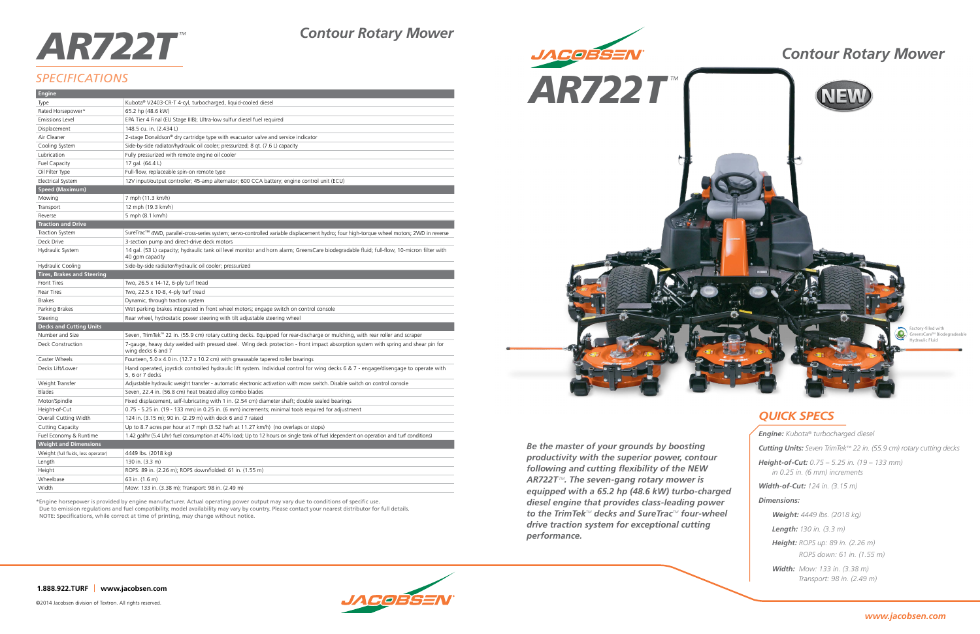*Be the master of your grounds by boosting productivity with the superior power, contour following and cutting flexibility of the NEW AR722TTM. The seven-gang rotary mower is equipped with a 65.2 hp (48.6 kW) turbo-charged diesel engine that provides class-leading power to the TrimTekTM decks and SureTracTM four-wheel drive traction system for exceptional cutting performance.*



## *QUICK SPECS*

**1.888.922.TURF www.jacobsen.com**

©2014 Jacobsen division of Textron. All rights reserved.

# *AR722T<sup>™</sup> Contour Rotary Mower*

# *SPECIFICATIONS*

\*Engine horsepower is provided by engine manufacturer. Actual operating power output may vary due to conditions of specific use. Due to emission regulations and fuel compatibility, model availability may vary by country. Please contact your nearest distributor for full details. NOTE: Specifications, while correct at time of printing, may change without notice.

| <b>Engine</b>                       |                                                                                                                                                               |
|-------------------------------------|---------------------------------------------------------------------------------------------------------------------------------------------------------------|
| Type                                | Kubota® V2403-CR-T 4-cyl, turbocharged, liquid-cooled diesel                                                                                                  |
| Rated Horsepower*                   | 65.2 hp (48.6 kW)                                                                                                                                             |
| <b>Emissions Level</b>              | EPA Tier 4 Final (EU Stage IIIB); Ultra-low sulfur diesel fuel required                                                                                       |
| Displacement                        | 148.5 cu. in. (2.434 L)                                                                                                                                       |
| Air Cleaner                         | 2-stage Donaldson® dry cartridge type with evacuator valve and service indicator                                                                              |
| Cooling System                      | Side-by-side radiator/hydraulic oil cooler; pressurized; 8 qt. (7.6 L) capacity                                                                               |
| Lubrication                         | Fully pressurized with remote engine oil cooler                                                                                                               |
| <b>Fuel Capacity</b>                | 17 gal. (64.4 L)                                                                                                                                              |
| Oil Filter Type                     | Full-flow, replaceable spin-on remote type                                                                                                                    |
| Electrical System                   | 12V input/output controller; 45-amp alternator; 600 CCA battery; engine control unit (ECU)                                                                    |
| Speed (Maximum)                     |                                                                                                                                                               |
| Mowing                              | 7 mph (11.3 km/h)                                                                                                                                             |
| Transport                           | 12 mph (19.3 km/h)                                                                                                                                            |
| Reverse                             | 5 mph (8.1 km/h)                                                                                                                                              |
| <b>Traction and Drive</b>           |                                                                                                                                                               |
| <b>Traction System</b>              | SureTrac™ 4WD, parallel-cross-series system; servo-controlled variable displacement hydro; four high-torque wheel motors; 2WD in reverse                      |
| Deck Drive                          | 3-section pump and direct-drive deck motors                                                                                                                   |
| Hydraulic System                    | 14 gal. (53 L) capacity; hydraulic tank oil level monitor and horn alarm; GreensCare biodegradable fluid; full-flow, 10-micron filter with<br>40 gpm capacity |
| <b>Hydraulic Cooling</b>            | Side-by-side radiator/hydraulic oil cooler; pressurized                                                                                                       |
| <b>Tires, Brakes and Steering</b>   |                                                                                                                                                               |
| Front Tires                         | Two, 26.5 x 14-12, 6-ply turf tread                                                                                                                           |
| <b>Rear Tires</b>                   | Two, 22.5 x 10-8, 4-ply turf tread                                                                                                                            |
| <b>Brakes</b>                       | Dynamic, through traction system                                                                                                                              |
| Parking Brakes                      | Wet parking brakes integrated in front wheel motors; engage switch on control console                                                                         |
| Steering                            | Rear wheel, hydrostatic power steering with tilt adjustable steering wheel                                                                                    |
| <b>Decks and Cutting Units</b>      |                                                                                                                                                               |
| Number and Size                     | Seven, TrimTek™ 22 in. (55.9 cm) rotary cutting decks. Equipped for rear-discharge or mulching, with rear roller and scraper                                  |
| Deck Construction                   | 7-gauge, heavy duty welded with pressed steel. Wing deck protection - front impact absorption system with spring and shear pin for<br>wing decks 6 and 7      |
| Caster Wheels                       | Fourteen, 5.0 x 4.0 in. (12.7 x 10.2 cm) with greaseable tapered roller bearings                                                                              |
| Decks Lift/Lower                    | Hand operated, joystick controlled hydraulic lift system. Individual control for wing decks 6 & 7 - engage/disengage to operate with<br>5, 6 or 7 decks       |
| Weight Transfer                     | Adjustable hydraulic weight transfer - automatic electronic activation with mow switch. Disable switch on control console                                     |
| <b>Blades</b>                       | Seven, 22.4 in. (56.8 cm) heat treated alloy combo blades                                                                                                     |
| Motor/Spindle                       | Fixed displacement, self-lubricating with 1 in. (2.54 cm) diameter shaft; double sealed bearings                                                              |
| Height-of-Cut                       | 0.75 - 5.25 in. (19 - 133 mm) in 0.25 in. (6 mm) increments; minimal tools required for adjustment                                                            |
| Overall Cutting Width               | 124 in. (3.15 m); 90 in. (2.29 m) with deck 6 and 7 raised                                                                                                    |
| Cutting Capacity                    | Up to 8.7 acres per hour at 7 mph (3.52 ha/h at 11.27 km/h) (no overlaps or stops)                                                                            |
| Fuel Economy & Runtime              | 1.42 gal/hr (5.4 L/hr) fuel consumption at 40% load; Up to 12 hours on single tank of fuel (dependent on operation and turf conditions)                       |
| <b>Weight and Dimensions</b>        |                                                                                                                                                               |
| Weight (full fluids, less operator) | 4449 lbs. (2018 kg)                                                                                                                                           |
| Length                              | 130 in. (3.3 m)                                                                                                                                               |
| Height                              | ROPS: 89 in. (2.26 m); ROPS down/folded: 61 in. (1.55 m)                                                                                                      |
| Wheelbase                           | 63 in. (1.6 m)                                                                                                                                                |
| Width                               | Mow: 133 in. (3.38 m); Transport: 98 in. (2.49 m)                                                                                                             |
|                                     |                                                                                                                                                               |



| <b>Engine:</b> Kubota <sup>®</sup> turbocharged diesel                                 |
|----------------------------------------------------------------------------------------|
| <b>Cutting Units:</b> Seven TrimTek <sup>™</sup> 22 in. (55.9 cm) rotary cutting decks |
| <b>Height-of-Cut:</b> $0.75 - 5.25$ in. (19 – 133 mm)<br>in 0.25 in. (6 mm) increments |
| <b>Width-of-Cut:</b> 124 in. (3.15 m)                                                  |
| Dimensions:                                                                            |
| <b>Weight:</b> 4449 lbs. (2018 kg)                                                     |
| <b>Length:</b> 130 in. $(3.3 \text{ m})$                                               |
| <b>Height:</b> ROPS up: 89 in. (2.26 m)<br>ROPS down: 61 in. (1.55 m)                  |
| <b>Width:</b> Mow: 133 in. (3.38 m)<br>Transport: 98 in. (2.49 m)                      |
|                                                                                        |